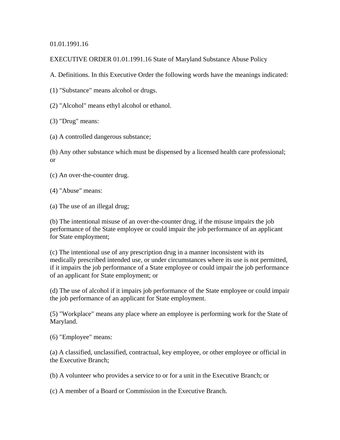01.01.1991.16

EXECUTIVE ORDER 01.01.1991.16 State of Maryland Substance Abuse Policy

A. Definitions. In this Executive Order the following words have the meanings indicated:

(1) "Substance" means alcohol or drugs.

(2) "Alcohol" means ethyl alcohol or ethanol.

(3) "Drug" means:

(a) A controlled dangerous substance;

(b) Any other substance which must be dispensed by a licensed health care professional; or

(c) An over-the-counter drug.

(4) "Abuse" means:

(a) The use of an illegal drug;

(b) The intentional misuse of an over-the-counter drug, if the misuse impairs the job performance of the State employee or could impair the job performance of an applicant for State employment;

(c) The intentional use of any prescription drug in a manner inconsistent with its medically prescribed intended use, or under circumstances where its use is not permitted, if it impairs the job performance of a State employee or could impair the job performance of an applicant for State employment; or

(d) The use of alcohol if it impairs job performance of the State employee or could impair the job performance of an applicant for State employment.

(5) "Workplace" means any place where an employee is performing work for the State of Maryland.

(6) "Employee" means:

(a) A classified, unclassified, contractual, key employee, or other employee or official in the Executive Branch;

(b) A volunteer who provides a service to or for a unit in the Executive Branch; or

(c) A member of a Board or Commission in the Executive Branch.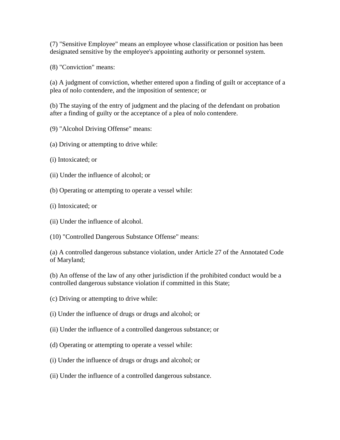(7) "Sensitive Employee" means an employee whose classification or position has been designated sensitive by the employee's appointing authority or personnel system.

(8) "Conviction" means:

(a) A judgment of conviction, whether entered upon a finding of guilt or acceptance of a plea of nolo contendere, and the imposition of sentence; or

(b) The staying of the entry of judgment and the placing of the defendant on probation after a finding of guilty or the acceptance of a plea of nolo contendere.

- (9) "Alcohol Driving Offense" means:
- (a) Driving or attempting to drive while:
- (i) Intoxicated; or
- (ii) Under the influence of alcohol; or
- (b) Operating or attempting to operate a vessel while:
- (i) Intoxicated; or
- (ii) Under the influence of alcohol.

(10) "Controlled Dangerous Substance Offense" means:

(a) A controlled dangerous substance violation, under Article 27 of the Annotated Code of Maryland;

(b) An offense of the law of any other jurisdiction if the prohibited conduct would be a controlled dangerous substance violation if committed in this State;

- (c) Driving or attempting to drive while:
- (i) Under the influence of drugs or drugs and alcohol; or
- (ii) Under the influence of a controlled dangerous substance; or
- (d) Operating or attempting to operate a vessel while:
- (i) Under the influence of drugs or drugs and alcohol; or
- (ii) Under the influence of a controlled dangerous substance.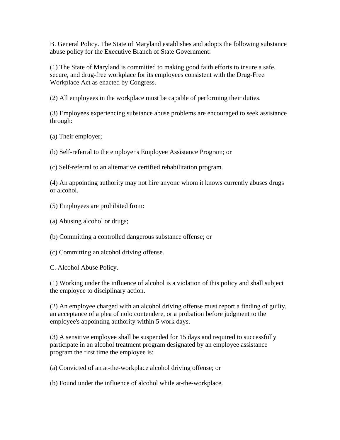B. General Policy. The State of Maryland establishes and adopts the following substance abuse policy for the Executive Branch of State Government:

(1) The State of Maryland is committed to making good faith efforts to insure a safe, secure, and drug-free workplace for its employees consistent with the Drug-Free Workplace Act as enacted by Congress.

(2) All employees in the workplace must be capable of performing their duties.

(3) Employees experiencing substance abuse problems are encouraged to seek assistance through:

(a) Their employer;

(b) Self-referral to the employer's Employee Assistance Program; or

(c) Self-referral to an alternative certified rehabilitation program.

(4) An appointing authority may not hire anyone whom it knows currently abuses drugs or alcohol.

- (5) Employees are prohibited from:
- (a) Abusing alcohol or drugs;

(b) Committing a controlled dangerous substance offense; or

(c) Committing an alcohol driving offense.

C. Alcohol Abuse Policy.

(1) Working under the influence of alcohol is a violation of this policy and shall subject the employee to disciplinary action.

(2) An employee charged with an alcohol driving offense must report a finding of guilty, an acceptance of a plea of nolo contendere, or a probation before judgment to the employee's appointing authority within 5 work days.

(3) A sensitive employee shall be suspended for 15 days and required to successfully participate in an alcohol treatment program designated by an employee assistance program the first time the employee is:

(a) Convicted of an at-the-workplace alcohol driving offense; or

(b) Found under the influence of alcohol while at-the-workplace.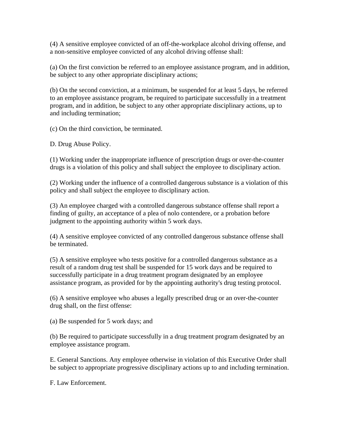(4) A sensitive employee convicted of an off-the-workplace alcohol driving offense, and a non-sensitive employee convicted of any alcohol driving offense shall:

(a) On the first conviction be referred to an employee assistance program, and in addition, be subject to any other appropriate disciplinary actions;

(b) On the second conviction, at a minimum, be suspended for at least 5 days, be referred to an employee assistance program, be required to participate successfully in a treatment program, and in addition, be subject to any other appropriate disciplinary actions, up to and including termination;

(c) On the third conviction, be terminated.

D. Drug Abuse Policy.

(1) Working under the inappropriate influence of prescription drugs or over-the-counter drugs is a violation of this policy and shall subject the employee to disciplinary action.

(2) Working under the influence of a controlled dangerous substance is a violation of this policy and shall subject the employee to disciplinary action.

(3) An employee charged with a controlled dangerous substance offense shall report a finding of guilty, an acceptance of a plea of nolo contendere, or a probation before judgment to the appointing authority within 5 work days.

(4) A sensitive employee convicted of any controlled dangerous substance offense shall be terminated.

(5) A sensitive employee who tests positive for a controlled dangerous substance as a result of a random drug test shall be suspended for 15 work days and be required to successfully participate in a drug treatment program designated by an employee assistance program, as provided for by the appointing authority's drug testing protocol.

(6) A sensitive employee who abuses a legally prescribed drug or an over-the-counter drug shall, on the first offense:

(a) Be suspended for 5 work days; and

(b) Be required to participate successfully in a drug treatment program designated by an employee assistance program.

E. General Sanctions. Any employee otherwise in violation of this Executive Order shall be subject to appropriate progressive disciplinary actions up to and including termination.

F. Law Enforcement.